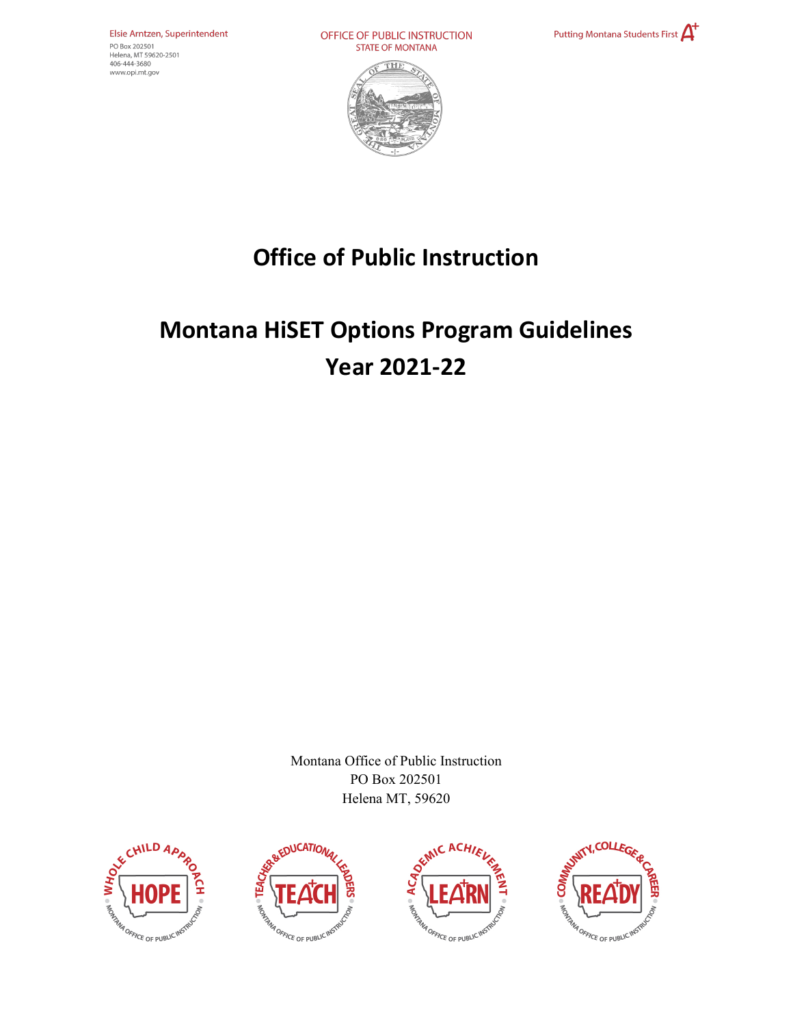Elsie Arntzen, Superintendent PO Box 202501 Helena, MT 59620-2501 406-444-3680 www.opi.mt.gov

OFFICE OF PUBLIC INSTRUCTION **STATE OF MONTANA** 





## **Office of Public Instruction**

# **Montana HiSET Options Program Guidelines Year 2021-22**

Montana Office of Public Instruction PO Box 202501 Helena MT, 59620







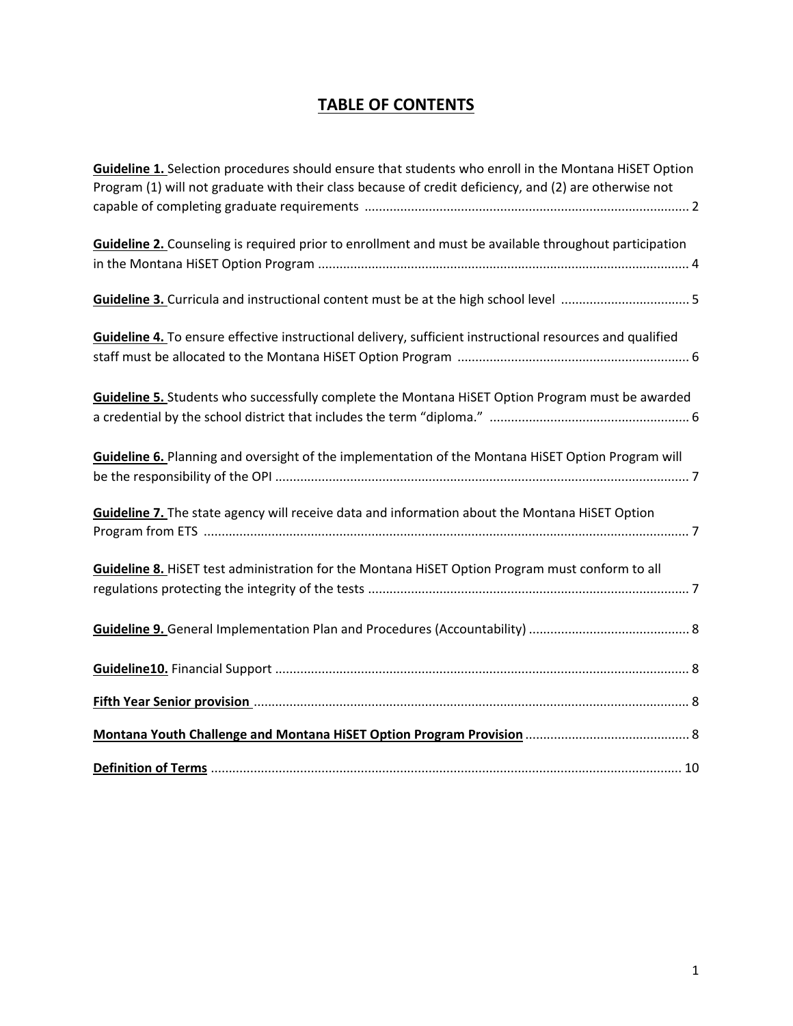## **TABLE OF CONTENTS**

| Guideline 1. Selection procedures should ensure that students who enroll in the Montana HiSET Option<br>Program (1) will not graduate with their class because of credit deficiency, and (2) are otherwise not |
|----------------------------------------------------------------------------------------------------------------------------------------------------------------------------------------------------------------|
|                                                                                                                                                                                                                |
| Guideline 2. Counseling is required prior to enrollment and must be available throughout participation                                                                                                         |
|                                                                                                                                                                                                                |
|                                                                                                                                                                                                                |
| Guideline 4. To ensure effective instructional delivery, sufficient instructional resources and qualified                                                                                                      |
|                                                                                                                                                                                                                |
| Guideline 5. Students who successfully complete the Montana HiSET Option Program must be awarded                                                                                                               |
| Guideline 6. Planning and oversight of the implementation of the Montana HiSET Option Program will                                                                                                             |
|                                                                                                                                                                                                                |
| Guideline 7. The state agency will receive data and information about the Montana HiSET Option                                                                                                                 |
|                                                                                                                                                                                                                |
| Guideline 8. HiSET test administration for the Montana HiSET Option Program must conform to all                                                                                                                |
|                                                                                                                                                                                                                |
|                                                                                                                                                                                                                |
|                                                                                                                                                                                                                |
| Fifth Year Senior provision [11] Series and Telecommunications of the Series and Series and Series and Series and S                                                                                            |
|                                                                                                                                                                                                                |
|                                                                                                                                                                                                                |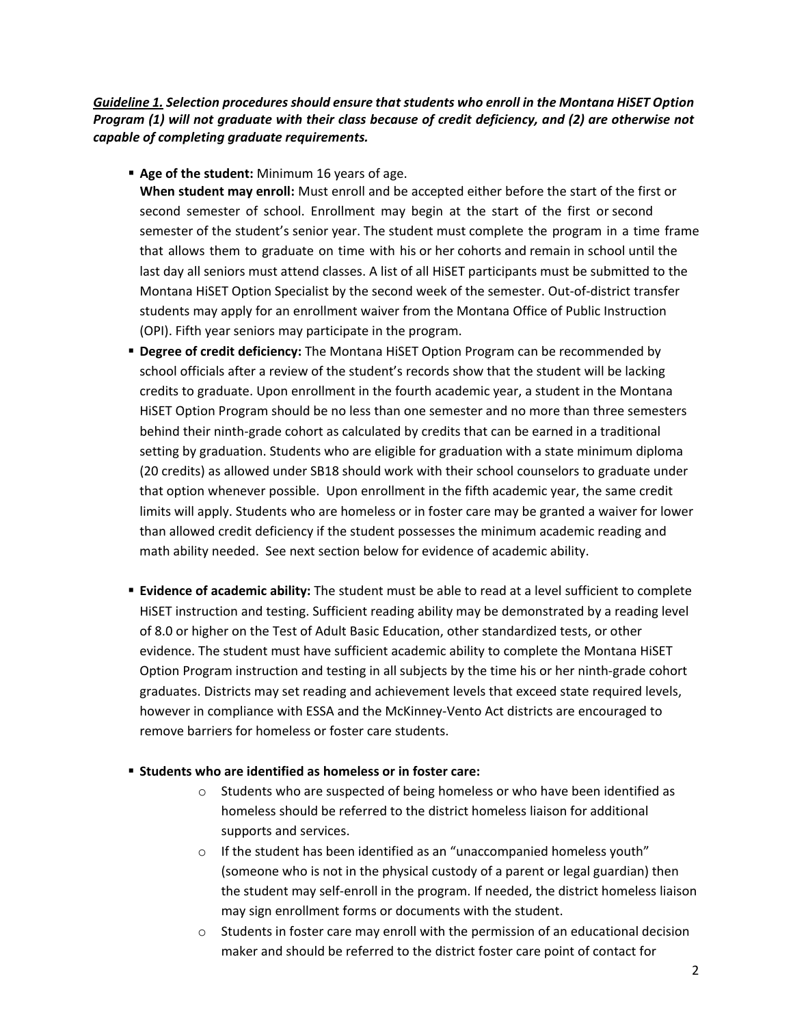*Guideline 1. Selection procedures should ensure that students who enroll in the Montana HiSET Option Program (1) will not graduate with their class because of credit deficiency, and (2) are otherwise not capable of completing graduate requirements.*

**Age of the student:** Minimum 16 years of age.

**When student may enroll:** Must enroll and be accepted either before the start of the first or second semester of school. Enrollment may begin at the start of the first or second semester of the student's senior year. The student must complete the program in a time frame that allows them to graduate on time with his or her cohorts and remain in school until the last day all seniors must attend classes. A list of all HiSET participants must be submitted to the Montana HiSET Option Specialist by the second week of the semester. Out-of-district transfer students may apply for an enrollment waiver from the Montana Office of Public Instruction (OPI). Fifth year seniors may participate in the program.

- **Degree of credit deficiency:** The Montana HiSET Option Program can be recommended by school officials after a review of the student's records show that the student will be lacking credits to graduate. Upon enrollment in the fourth academic year, a student in the Montana HiSET Option Program should be no less than one semester and no more than three semesters behind their ninth-grade cohort as calculated by credits that can be earned in a traditional setting by graduation. Students who are eligible for graduation with a state minimum diploma (20 credits) as allowed under SB18 should work with their school counselors to graduate under that option whenever possible. Upon enrollment in the fifth academic year, the same credit limits will apply. Students who are homeless or in foster care may be granted a waiver for lower than allowed credit deficiency if the student possesses the minimum academic reading and math ability needed. See next section below for evidence of academic ability.
- **Evidence of academic ability:** The student must be able to read at a level sufficient to complete HiSET instruction and testing. Sufficient reading ability may be demonstrated by a reading level of 8.0 or higher on the Test of Adult Basic Education, other standardized tests, or other evidence. The student must have sufficient academic ability to complete the Montana HiSET Option Program instruction and testing in all subjects by the time his or her ninth-grade cohort graduates. Districts may set reading and achievement levels that exceed state required levels, however in compliance with ESSA and the McKinney-Vento Act districts are encouraged to remove barriers for homeless or foster care students.
- **Students who are identified as homeless or in foster care:** 
	- o Students who are suspected of being homeless or who have been identified as homeless should be referred to the district homeless liaison for additional supports and services.
	- o If the student has been identified as an "unaccompanied homeless youth" (someone who is not in the physical custody of a parent or legal guardian) then the student may self-enroll in the program. If needed, the district homeless liaison may sign enrollment forms or documents with the student.
	- $\circ$  Students in foster care may enroll with the permission of an educational decision maker and should be referred to the district foster care point of contact for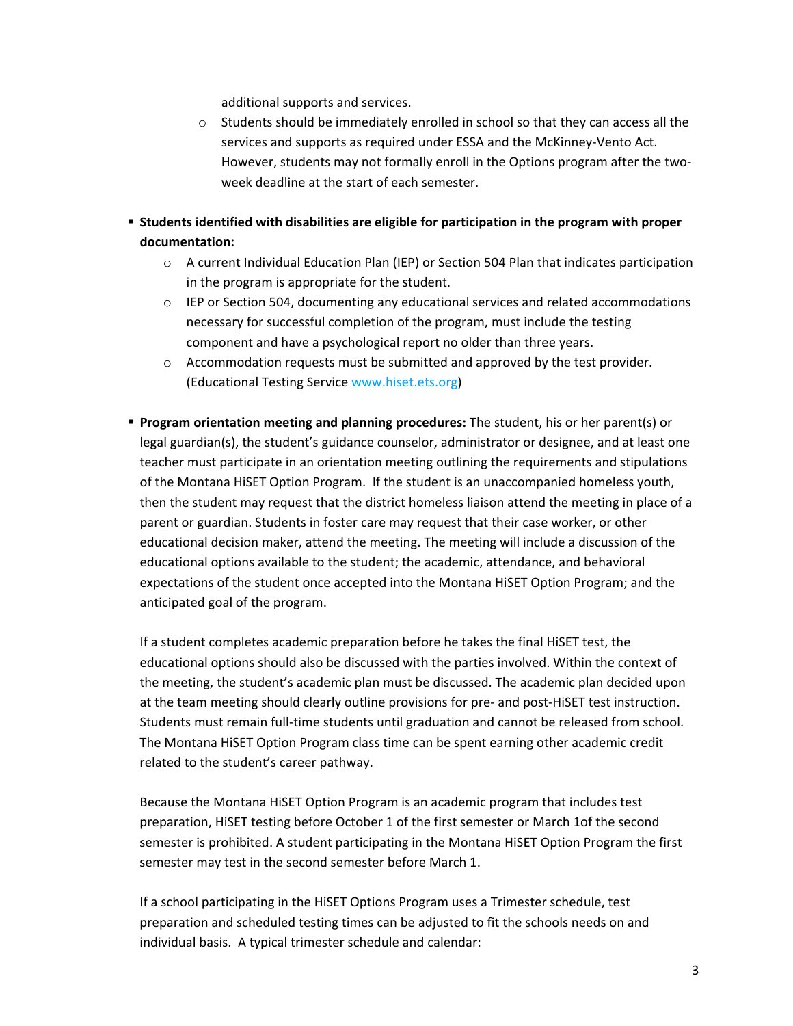additional supports and services.

- $\circ$  Students should be immediately enrolled in school so that they can access all the services and supports as required under ESSA and the McKinney-Vento Act. However, students may not formally enroll in the Options program after the twoweek deadline at the start of each semester.
- **Students identified with disabilities are eligible for participation in the program with proper documentation:**
	- $\circ$  A current Individual Education Plan (IEP) or Section 504 Plan that indicates participation in the program is appropriate for the student.
	- $\circ$  IEP or Section 504, documenting any educational services and related accommodations necessary for successful completion of the program, must include the testing component and have a psychological report no older than three years.
	- $\circ$  Accommodation requests must be submitted and approved by the test provider. (Educational Testing Servic[e www.hiset.ets.org\)](http://www.hiset.ets.org/)
- **Program orientation meeting and planning procedures:** The student, his or her parent(s) or legal guardian(s), the student's guidance counselor, administrator or designee, and at least one teacher must participate in an orientation meeting outlining the requirements and stipulations of the Montana HiSET Option Program. If the student is an unaccompanied homeless youth, then the student may request that the district homeless liaison attend the meeting in place of a parent or guardian. Students in foster care may request that their case worker, or other educational decision maker, attend the meeting. The meeting will include a discussion of the educational options available to the student; the academic, attendance, and behavioral expectations of the student once accepted into the Montana HiSET Option Program; and the anticipated goal of the program.

If a student completes academic preparation before he takes the final HiSET test, the educational options should also be discussed with the parties involved. Within the context of the meeting, the student's academic plan must be discussed. The academic plan decided upon at the team meeting should clearly outline provisions for pre- and post-HiSET test instruction. Students must remain full-time students until graduation and cannot be released from school. The Montana HiSET Option Program class time can be spent earning other academic credit related to the student's career pathway.

Because the Montana HiSET Option Program is an academic program that includes test preparation, HiSET testing before October 1 of the first semester or March 1of the second semester is prohibited. A student participating in the Montana HiSET Option Program the first semester may test in the second semester before March 1.

If a school participating in the HiSET Options Program uses a Trimester schedule, test preparation and scheduled testing times can be adjusted to fit the schools needs on and individual basis. A typical trimester schedule and calendar: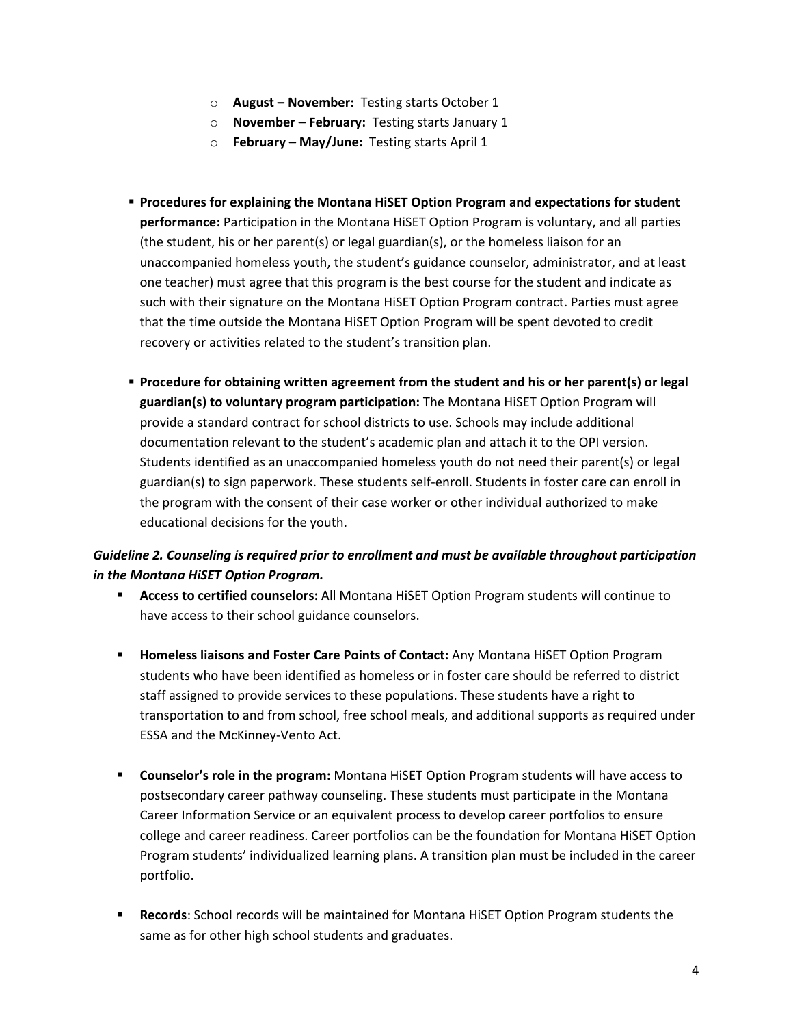- o **August – November:** Testing starts October 1
- o **November – February:** Testing starts January 1
- o **February – May/June:** Testing starts April 1
- **Procedures for explaining the Montana HiSET Option Program and expectations for student performance:** Participation in the Montana HiSET Option Program is voluntary, and all parties (the student, his or her parent(s) or legal guardian(s), or the homeless liaison for an unaccompanied homeless youth, the student's guidance counselor, administrator, and at least one teacher) must agree that this program is the best course for the student and indicate as such with their signature on the Montana HiSET Option Program contract. Parties must agree that the time outside the Montana HiSET Option Program will be spent devoted to credit recovery or activities related to the student's transition plan.
- **Procedure for obtaining written agreement from the student and his or her parent(s) or legal guardian(s) to voluntary program participation:** The Montana HiSET Option Program will provide a standard contract for school districts to use. Schools may include additional documentation relevant to the student's academic plan and attach it to the OPI version. Students identified as an unaccompanied homeless youth do not need their parent(s) or legal guardian(s) to sign paperwork. These students self-enroll. Students in foster care can enroll in the program with the consent of their case worker or other individual authorized to make educational decisions for the youth.

## *Guideline 2. Counseling is required prior to enrollment and must be available throughout participation in the Montana HiSET Option Program.*

- **Access to certified counselors:** All Montana HiSET Option Program students will continue to have access to their school guidance counselors.
- **Homeless liaisons and Foster Care Points of Contact:** Any Montana HiSET Option Program students who have been identified as homeless or in foster care should be referred to district staff assigned to provide services to these populations. These students have a right to transportation to and from school, free school meals, and additional supports as required under ESSA and the McKinney-Vento Act.
- **Counselor's role in the program:** Montana HiSET Option Program students will have access to postsecondary career pathway counseling. These students must participate in the Montana Career Information Service or an equivalent process to develop career portfolios to ensure college and career readiness. Career portfolios can be the foundation for Montana HiSET Option Program students' individualized learning plans. A transition plan must be included in the career portfolio.
- **Records**: School records will be maintained for Montana HiSET Option Program students the same as for other high school students and graduates.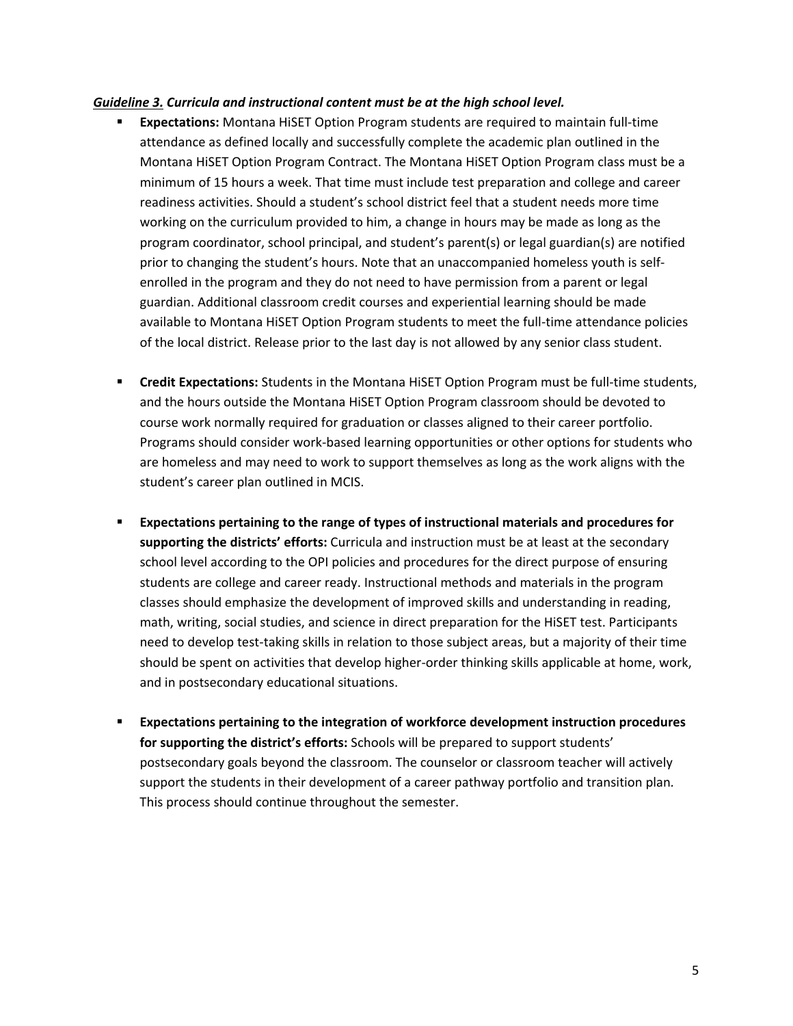#### *Guideline 3. Curricula and instructional content must be at the high school level.*

- **Expectations:** Montana HiSET Option Program students are required to maintain full-time attendance as defined locally and successfully complete the academic plan outlined in the Montana HiSET Option Program Contract. The Montana HiSET Option Program class must be a minimum of 15 hours a week. That time must include test preparation and college and career readiness activities. Should a student's school district feel that a student needs more time working on the curriculum provided to him, a change in hours may be made as long as the program coordinator, school principal, and student's parent(s) or legal guardian(s) are notified prior to changing the student's hours. Note that an unaccompanied homeless youth is selfenrolled in the program and they do not need to have permission from a parent or legal guardian. Additional classroom credit courses and experiential learning should be made available to Montana HiSET Option Program students to meet the full-time attendance policies of the local district. Release prior to the last day is not allowed by any senior class student.
- **Credit Expectations:** Students in the Montana HiSET Option Program must be full-time students, and the hours outside the Montana HiSET Option Program classroom should be devoted to course work normally required for graduation or classes aligned to their career portfolio. Programs should consider work-based learning opportunities or other options for students who are homeless and may need to work to support themselves as long as the work aligns with the student's career plan outlined in MCIS.
- **Expectations pertaining to the range of types of instructional materials and procedures for supporting the districts' efforts:** Curricula and instruction must be at least at the secondary school level according to the OPI policies and procedures for the direct purpose of ensuring students are college and career ready. Instructional methods and materials in the program classes should emphasize the development of improved skills and understanding in reading, math, writing, social studies, and science in direct preparation for the HiSET test. Participants need to develop test-taking skills in relation to those subject areas, but a majority of their time should be spent on activities that develop higher-order thinking skills applicable at home, work, and in postsecondary educational situations.
- **Expectations pertaining to the integration of workforce development instruction procedures for supporting the district's efforts:** Schools will be prepared to support students' postsecondary goals beyond the classroom. The counselor or classroom teacher will actively support the students in their development of a career pathway portfolio and transition plan*.*  This process should continue throughout the semester.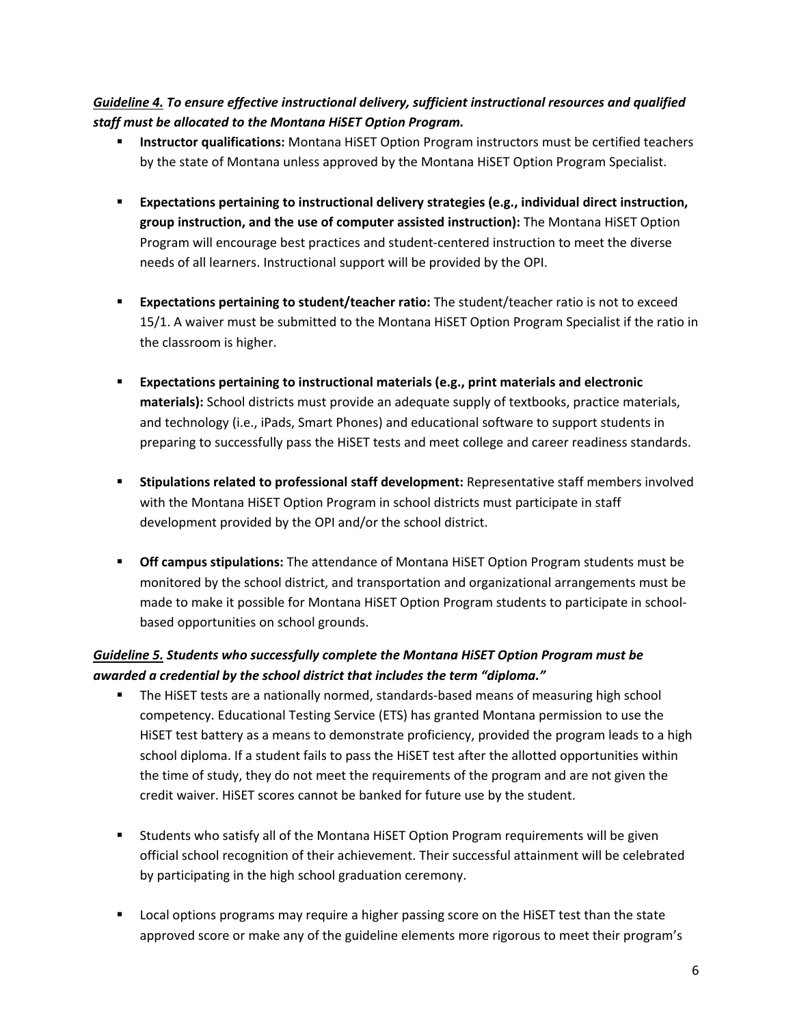## *Guideline 4. To ensure effective instructional delivery, sufficient instructional resources and qualified staff must be allocated to the Montana HiSET Option Program.*

- **Instructor qualifications:** Montana HiSET Option Program instructors must be certified teachers by the state of Montana unless approved by the Montana HiSET Option Program Specialist.
- **Expectations pertaining to instructional delivery strategies (e.g., individual direct instruction, group instruction, and the use of computer assisted instruction):** The Montana HiSET Option Program will encourage best practices and student-centered instruction to meet the diverse needs of all learners. Instructional support will be provided by the OPI.
- **Expectations pertaining to student/teacher ratio:** The student/teacher ratio is not to exceed 15/1. A waiver must be submitted to the Montana HiSET Option Program Specialist if the ratio in the classroom is higher.
- **Expectations pertaining to instructional materials (e.g., print materials and electronic materials):** School districts must provide an adequate supply of textbooks, practice materials, and technology (i.e., iPads, Smart Phones) and educational software to support students in preparing to successfully pass the HiSET tests and meet college and career readiness standards.
- **Stipulations related to professional staff development:** Representative staff members involved with the Montana HiSET Option Program in school districts must participate in staff development provided by the OPI and/or the school district.
- **Off campus stipulations:** The attendance of Montana HiSET Option Program students must be monitored by the school district, and transportation and organizational arrangements must be made to make it possible for Montana HiSET Option Program students to participate in schoolbased opportunities on school grounds.

## *Guideline 5. Students who successfully complete the Montana HiSET Option Program must be awarded a credential by the school district that includes the term "diploma."*

- **The HiSET tests are a nationally normed, standards-based means of measuring high school** competency. Educational Testing Service (ETS) has granted Montana permission to use the HiSET test battery as a means to demonstrate proficiency, provided the program leads to a high school diploma. If a student fails to pass the HiSET test after the allotted opportunities within the time of study, they do not meet the requirements of the program and are not given the credit waiver. HiSET scores cannot be banked for future use by the student.
- Students who satisfy all of the Montana HiSET Option Program requirements will be given official school recognition of their achievement. Their successful attainment will be celebrated by participating in the high school graduation ceremony.
- **Local options programs may require a higher passing score on the HISET test than the state** approved score or make any of the guideline elements more rigorous to meet their program's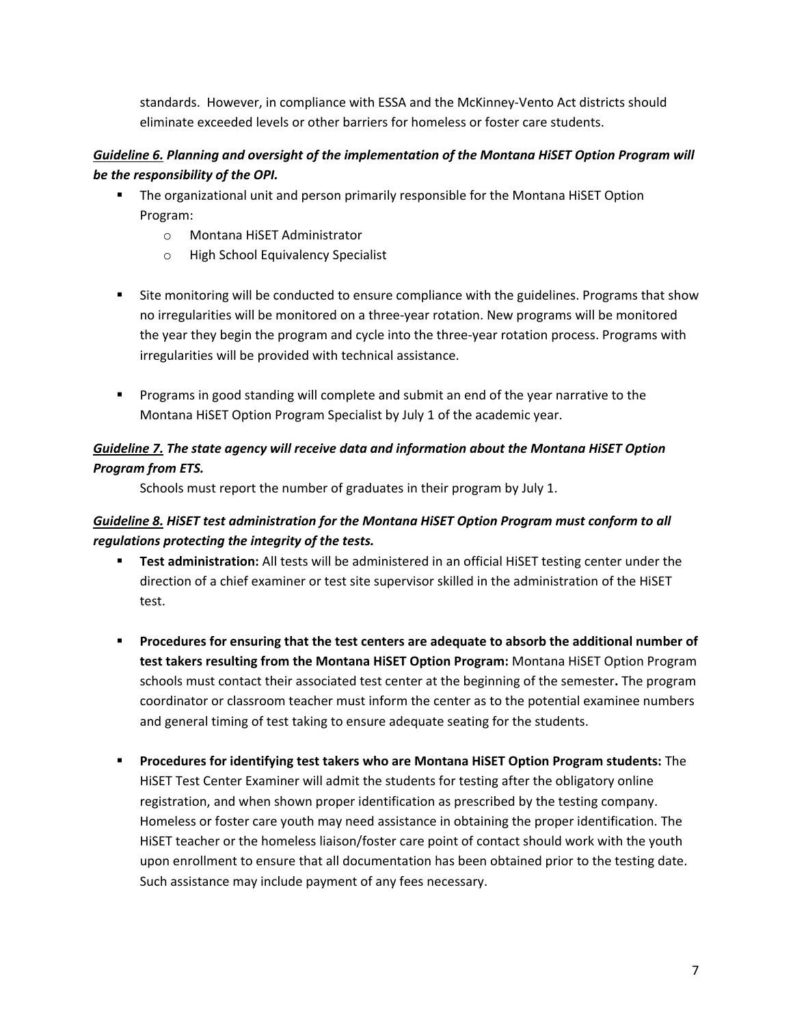standards. However, in compliance with ESSA and the McKinney-Vento Act districts should eliminate exceeded levels or other barriers for homeless or foster care students.

## *Guideline 6. Planning and oversight of the implementation of the Montana HiSET Option Program will be the responsibility of the OPI.*

- The organizational unit and person primarily responsible for the Montana HiSET Option Program:
	- o Montana HiSET Administrator
	- o High School Equivalency Specialist
- **Site monitoring will be conducted to ensure compliance with the guidelines. Programs that show** no irregularities will be monitored on a three-year rotation. New programs will be monitored the year they begin the program and cycle into the three-year rotation process. Programs with irregularities will be provided with technical assistance.
- **Programs in good standing will complete and submit an end of the year narrative to the** Montana HiSET Option Program Specialist by July 1 of the academic year.

## *Guideline 7. The state agency will receive data and information about the Montana HiSET Option Program from ETS.*

Schools must report the number of graduates in their program by July 1.

## *Guideline 8. HiSET test administration for the Montana HiSET Option Program must conform to all regulations protecting the integrity of the tests.*

- **Test administration:** All tests will be administered in an official HiSET testing center under the direction of a chief examiner or test site supervisor skilled in the administration of the HiSET test.
- **Procedures for ensuring that the test centers are adequate to absorb the additional number of test takers resulting from the Montana HiSET Option Program:** Montana HiSET Option Program schools must contact their associated test center at the beginning of the semester**.** The program coordinator or classroom teacher must inform the center as to the potential examinee numbers and general timing of test taking to ensure adequate seating for the students.
- **Procedures for identifying test takers who are Montana HiSET Option Program students:** The HiSET Test Center Examiner will admit the students for testing after the obligatory online registration, and when shown proper identification as prescribed by the testing company. Homeless or foster care youth may need assistance in obtaining the proper identification. The HiSET teacher or the homeless liaison/foster care point of contact should work with the youth upon enrollment to ensure that all documentation has been obtained prior to the testing date. Such assistance may include payment of any fees necessary.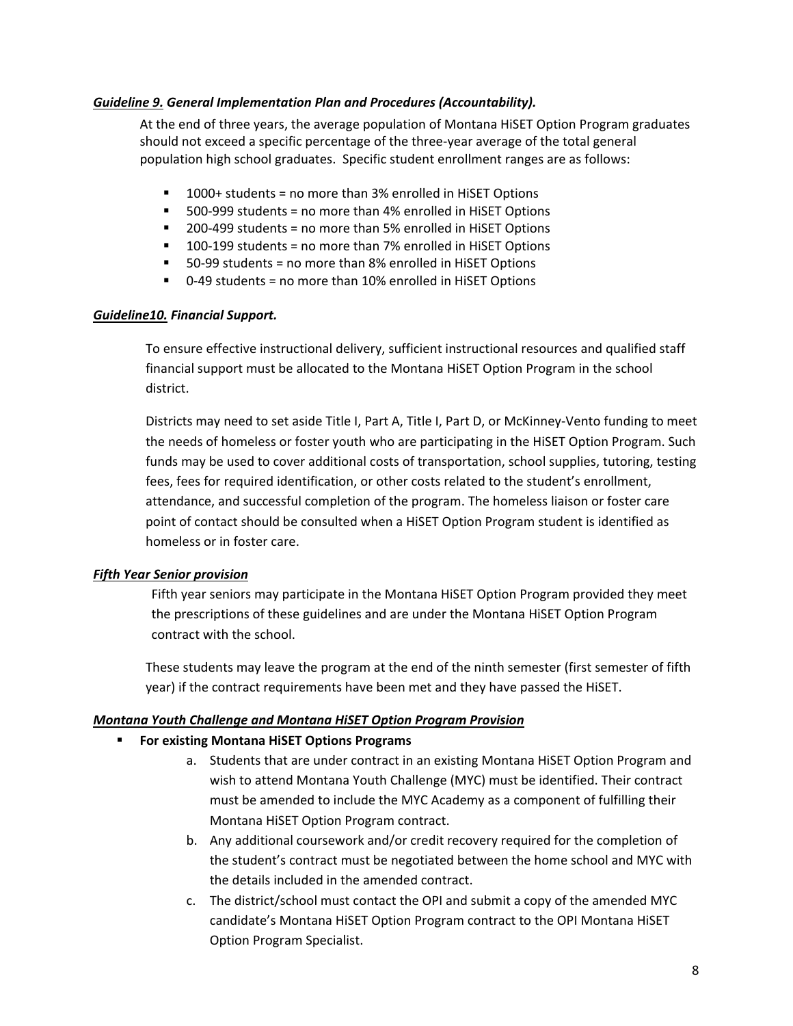#### *Guideline 9. General Implementation Plan and Procedures (Accountability).*

At the end of three years, the average population of Montana HiSET Option Program graduates should not exceed a specific percentage of the three-year average of the total general population high school graduates. Specific student enrollment ranges are as follows:

- 1000+ students = no more than 3% enrolled in HiSET Options
- 500-999 students = no more than 4% enrolled in HiSET Options
- 200-499 students = no more than 5% enrolled in HiSET Options
- 100-199 students = no more than 7% enrolled in HiSET Options
- 50-99 students = no more than 8% enrolled in HiSET Options
- 0-49 students = no more than 10% enrolled in HiSET Options

#### *Guideline10. Financial Support.*

To ensure effective instructional delivery, sufficient instructional resources and qualified staff financial support must be allocated to the Montana HiSET Option Program in the school district.

Districts may need to set aside Title I, Part A, Title I, Part D, or McKinney-Vento funding to meet the needs of homeless or foster youth who are participating in the HiSET Option Program. Such funds may be used to cover additional costs of transportation, school supplies, tutoring, testing fees, fees for required identification, or other costs related to the student's enrollment, attendance, and successful completion of the program. The homeless liaison or foster care point of contact should be consulted when a HiSET Option Program student is identified as homeless or in foster care.

#### *Fifth Year Senior provision*

Fifth year seniors may participate in the Montana HiSET Option Program provided they meet the prescriptions of these guidelines and are under the Montana HiSET Option Program contract with the school.

These students may leave the program at the end of the ninth semester (first semester of fifth year) if the contract requirements have been met and they have passed the HiSET.

#### *Montana Youth Challenge and Montana HiSET Option Program Provision*

#### **For existing Montana HiSET Options Programs**

- a. Students that are under contract in an existing Montana HiSET Option Program and wish to attend Montana Youth Challenge (MYC) must be identified. Their contract must be amended to include the MYC Academy as a component of fulfilling their Montana HiSET Option Program contract.
- b. Any additional coursework and/or credit recovery required for the completion of the student's contract must be negotiated between the home school and MYC with the details included in the amended contract.
- c. The district/school must contact the OPI and submit a copy of the amended MYC candidate's Montana HiSET Option Program contract to the OPI Montana HiSET Option Program Specialist.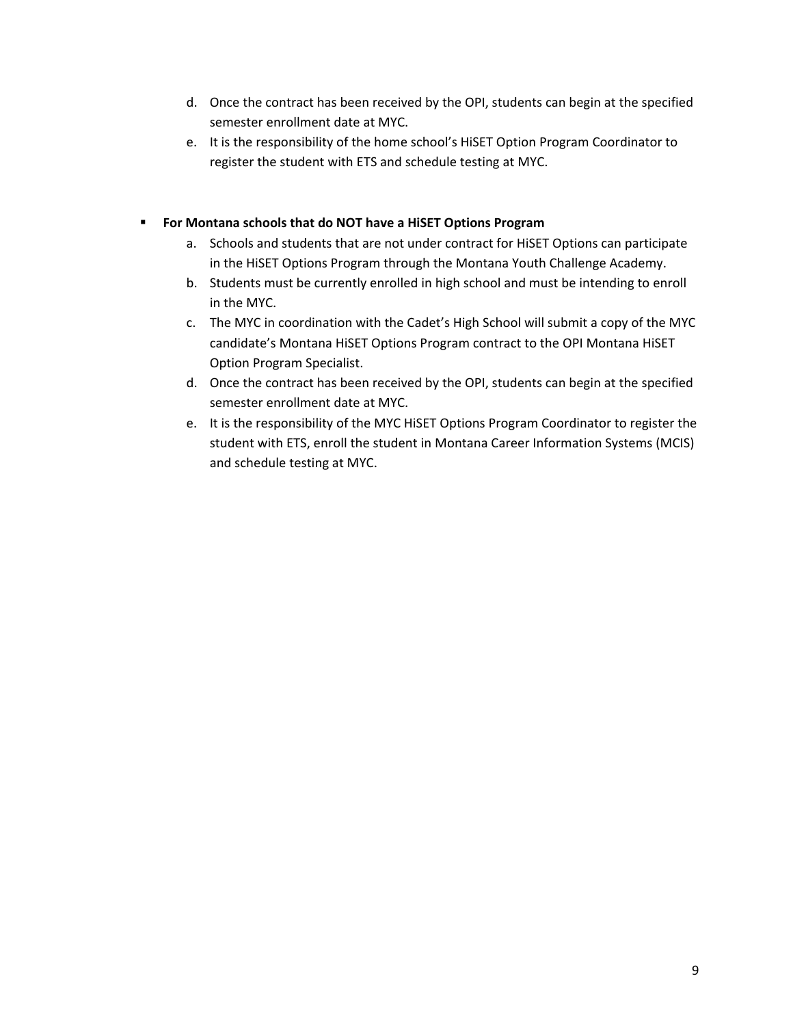- d. Once the contract has been received by the OPI, students can begin at the specified semester enrollment date at MYC.
- e. It is the responsibility of the home school's HiSET Option Program Coordinator to register the student with ETS and schedule testing at MYC.

### **For Montana schools that do NOT have a HiSET Options Program**

- a. Schools and students that are not under contract for HiSET Options can participate in the HiSET Options Program through the Montana Youth Challenge Academy.
- b. Students must be currently enrolled in high school and must be intending to enroll in the MYC.
- c. The MYC in coordination with the Cadet's High School will submit a copy of the MYC candidate's Montana HiSET Options Program contract to the OPI Montana HiSET Option Program Specialist.
- d. Once the contract has been received by the OPI, students can begin at the specified semester enrollment date at MYC.
- e. It is the responsibility of the MYC HiSET Options Program Coordinator to register the student with ETS, enroll the student in Montana Career Information Systems (MCIS) and schedule testing at MYC.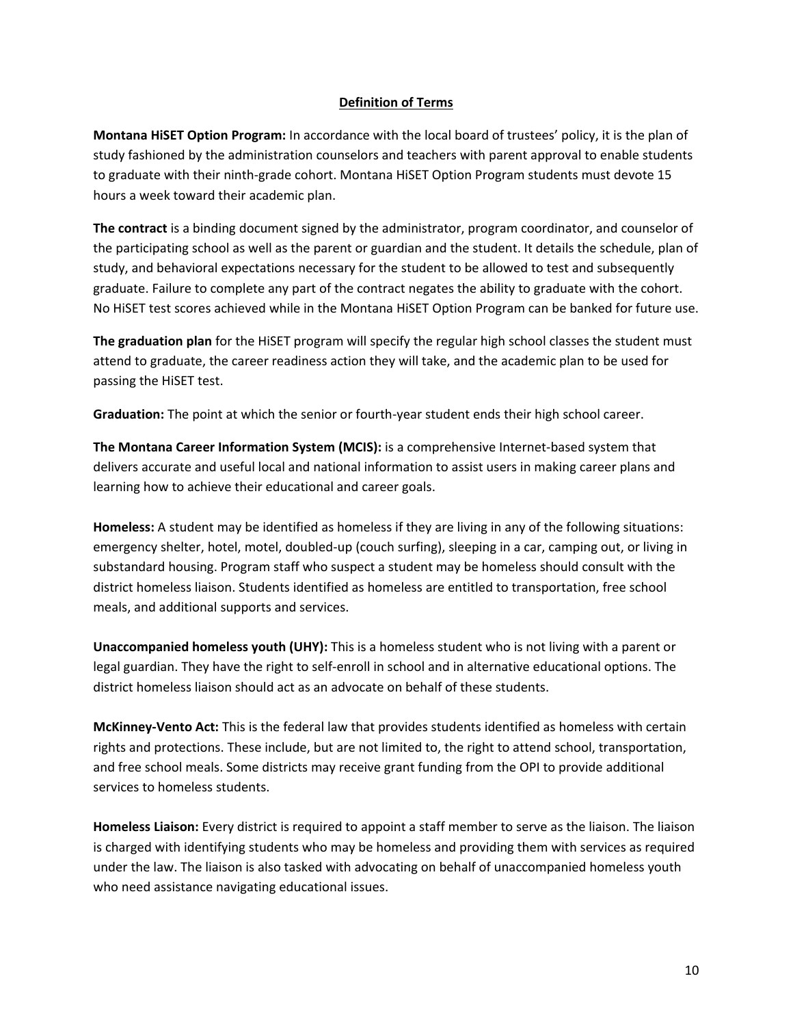#### **Definition of Terms**

**Montana HiSET Option Program:** In accordance with the local board of trustees' policy, it is the plan of study fashioned by the administration counselors and teachers with parent approval to enable students to graduate with their ninth-grade cohort. Montana HiSET Option Program students must devote 15 hours a week toward their academic plan.

**The contract** is a binding document signed by the administrator, program coordinator, and counselor of the participating school as well as the parent or guardian and the student. It details the schedule, plan of study, and behavioral expectations necessary for the student to be allowed to test and subsequently graduate. Failure to complete any part of the contract negates the ability to graduate with the cohort. No HiSET test scores achieved while in the Montana HiSET Option Program can be banked for future use.

**The graduation plan** for the HiSET program will specify the regular high school classes the student must attend to graduate, the career readiness action they will take, and the academic plan to be used for passing the HiSET test.

**Graduation:** The point at which the senior or fourth-year student ends their high school career.

**The Montana Career Information System (MCIS):** is a comprehensive Internet-based system that delivers accurate and useful local and national information to assist users in making career plans and learning how to achieve their educational and career goals.

**Homeless:** A student may be identified as homeless if they are living in any of the following situations: emergency shelter, hotel, motel, doubled-up (couch surfing), sleeping in a car, camping out, or living in substandard housing. Program staff who suspect a student may be homeless should consult with the district homeless liaison. Students identified as homeless are entitled to transportation, free school meals, and additional supports and services.

**Unaccompanied homeless youth (UHY):** This is a homeless student who is not living with a parent or legal guardian. They have the right to self-enroll in school and in alternative educational options. The district homeless liaison should act as an advocate on behalf of these students.

**McKinney-Vento Act:** This is the federal law that provides students identified as homeless with certain rights and protections. These include, but are not limited to, the right to attend school, transportation, and free school meals. Some districts may receive grant funding from the OPI to provide additional services to homeless students.

**Homeless Liaison:** Every district is required to appoint a staff member to serve as the liaison. The liaison is charged with identifying students who may be homeless and providing them with services as required under the law. The liaison is also tasked with advocating on behalf of unaccompanied homeless youth who need assistance navigating educational issues.